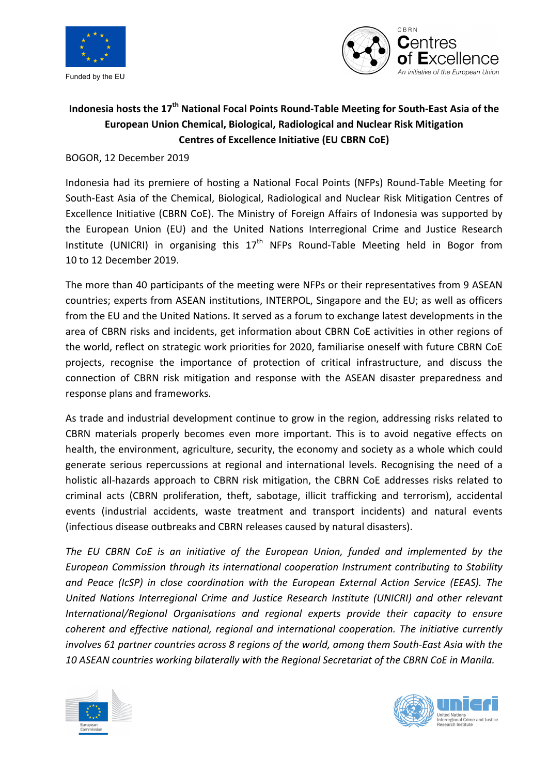



## Indonesia hosts the 17<sup>th</sup> National Focal Points Round-Table Meeting for South-East Asia of the **European Union Chemical, Biological, Radiological and Nuclear Risk Mitigation Centres of Excellence Initiative (EU CBRN CoE)**

BOGOR, 12 December 2019

Indonesia had its premiere of hosting a National Focal Points (NFPs) Round-Table Meeting for South-East Asia of the Chemical, Biological, Radiological and Nuclear Risk Mitigation Centres of Excellence Initiative (CBRN CoE). The Ministry of Foreign Affairs of Indonesia was supported by the European Union (EU) and the United Nations Interregional Crime and Justice Research Institute (UNICRI) in organising this  $17<sup>th</sup>$  NFPs Round-Table Meeting held in Bogor from 10 to 12 December 2019.

The more than 40 participants of the meeting were NFPs or their representatives from 9 ASEAN countries; experts from ASEAN institutions, INTERPOL, Singapore and the EU; as well as officers from the EU and the United Nations. It served as a forum to exchange latest developments in the area of CBRN risks and incidents, get information about CBRN CoE activities in other regions of the world, reflect on strategic work priorities for 2020, familiarise oneself with future CBRN CoE projects, recognise the importance of protection of critical infrastructure, and discuss the connection of CBRN risk mitigation and response with the ASEAN disaster preparedness and response plans and frameworks.

As trade and industrial development continue to grow in the region, addressing risks related to CBRN materials properly becomes even more important. This is to avoid negative effects on health, the environment, agriculture, security, the economy and society as a whole which could generate serious repercussions at regional and international levels. Recognising the need of a holistic all-hazards approach to CBRN risk mitigation, the CBRN CoE addresses risks related to criminal acts (CBRN proliferation, theft, sabotage, illicit trafficking and terrorism), accidental events (industrial accidents, waste treatment and transport incidents) and natural events (infectious disease outbreaks and CBRN releases caused by natural disasters).

The EU CBRN CoE is an initiative of the European Union, funded and implemented by the *European Commission through its international cooperation Instrument contributing to Stability*  and Peace (IcSP) in close coordination with the European External Action Service (EEAS). The *United Nations Interregional Crime and Justice Research Institute (UNICRI) and other relevant International/Regional Organisations and regional experts provide their capacity to ensure* coherent and effective national, regional and international cooperation. The initiative currently *involves* 61 partner countries across 8 regions of the world, among them South-East Asia with the *10 ASEAN countries working bilaterally with the Regional Secretariat of the CBRN CoE in Manila.*